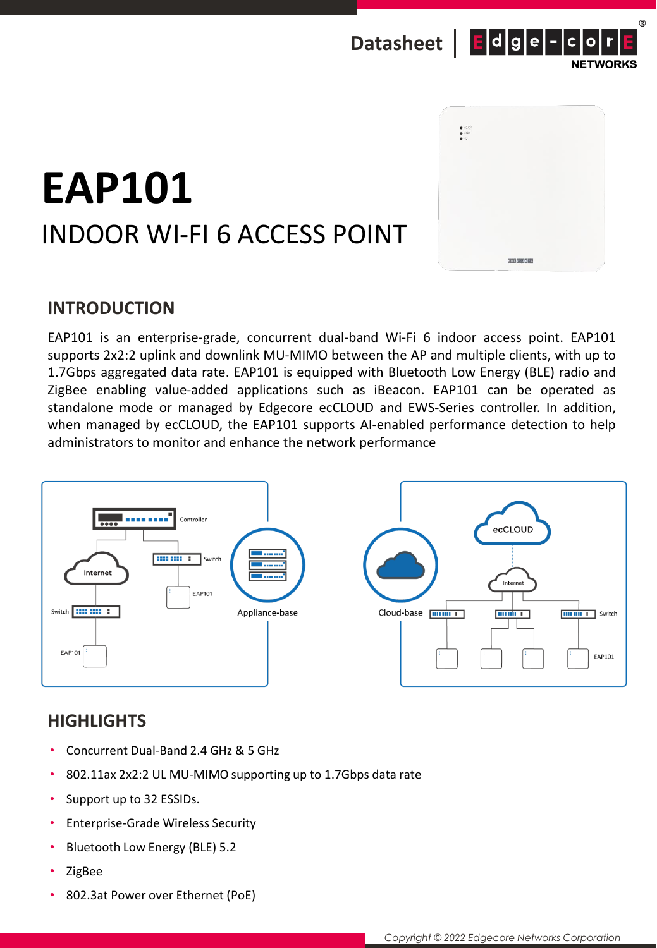



## **EAP101** INDOOR WI-FI 6 ACCESS POINT

## **INTRODUCTION**

EAP101 is an enterprise-grade, concurrent dual-band Wi-Fi 6 indoor access point. EAP101 supports 2x2:2 uplink and downlink MU-MIMO between the AP and multiple clients, with up to 1.7Gbps aggregated data rate. EAP101 is equipped with Bluetooth Low Energy (BLE) radio and ZigBee enabling value-added applications such as iBeacon. EAP101 can be operated as standalone mode or managed by Edgecore ecCLOUD and EWS-Series controller. In addition, when managed by ecCLOUD, the EAP101 supports AI-enabled performance detection to help administrators to monitor and enhance the network performance



## **HIGHLIGHTS**

- Concurrent Dual-Band 2.4 GHz & 5 GHz
- 802.11ax 2x2:2 UL MU-MIMO supporting up to 1.7Gbps data rate
- Support up to 32 ESSIDs.
- Enterprise-Grade Wireless Security
- Bluetooth Low Energy (BLE) 5.2
- ZigBee
- 802.3at Power over Ethernet (PoE)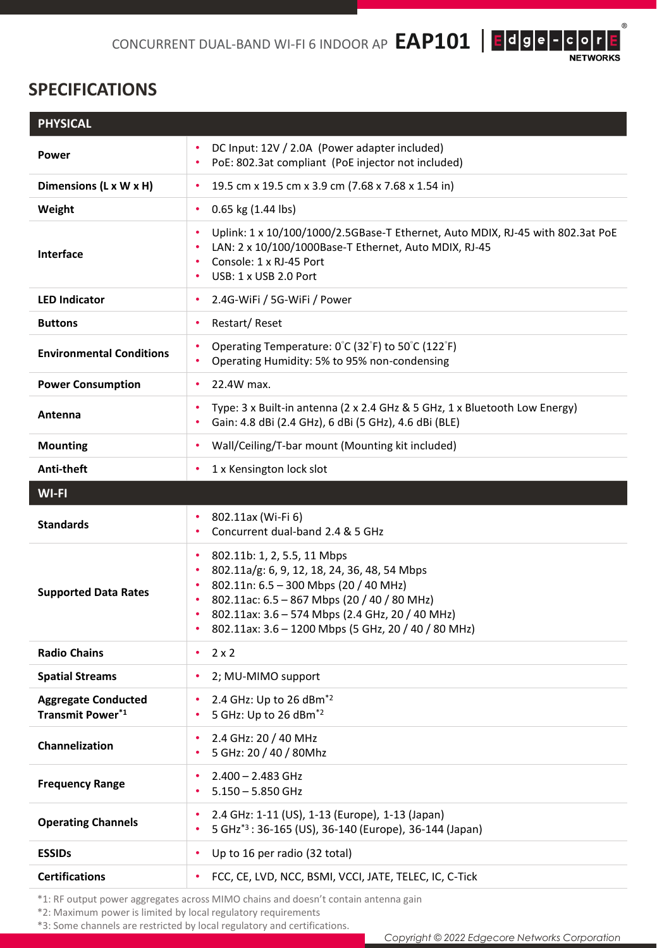$^{\circledR}$ 

## **SPECIFICATIONS**

| <b>PHYSICAL</b>                                |                                                                                                                                                                                                                                                                                                                      |  |
|------------------------------------------------|----------------------------------------------------------------------------------------------------------------------------------------------------------------------------------------------------------------------------------------------------------------------------------------------------------------------|--|
| <b>Power</b>                                   | DC Input: 12V / 2.0A (Power adapter included)<br>PoE: 802.3at compliant (PoE injector not included)                                                                                                                                                                                                                  |  |
| Dimensions (L x W x H)                         | 19.5 cm x 19.5 cm x 3.9 cm (7.68 x 7.68 x 1.54 in)<br>٠                                                                                                                                                                                                                                                              |  |
| Weight                                         | 0.65 kg (1.44 lbs)<br>$\bullet$                                                                                                                                                                                                                                                                                      |  |
| <b>Interface</b>                               | Uplink: 1 x 10/100/1000/2.5GBase-T Ethernet, Auto MDIX, RJ-45 with 802.3at PoE<br>LAN: 2 x 10/100/1000Base-T Ethernet, Auto MDIX, RJ-45<br>Console: 1 x RJ-45 Port<br>USB: 1 x USB 2.0 Port                                                                                                                          |  |
| <b>LED Indicator</b>                           | 2.4G-WiFi / 5G-WiFi / Power<br>٠                                                                                                                                                                                                                                                                                     |  |
| <b>Buttons</b>                                 | Restart/Reset<br>٠                                                                                                                                                                                                                                                                                                   |  |
| <b>Environmental Conditions</b>                | Operating Temperature: 0°C (32°F) to 50°C (122°F)<br>Operating Humidity: 5% to 95% non-condensing<br>٠                                                                                                                                                                                                               |  |
| <b>Power Consumption</b>                       | 22.4W max.<br>٠                                                                                                                                                                                                                                                                                                      |  |
| Antenna                                        | Type: 3 x Built-in antenna (2 x 2.4 GHz & 5 GHz, 1 x Bluetooth Low Energy)<br>Gain: 4.8 dBi (2.4 GHz), 6 dBi (5 GHz), 4.6 dBi (BLE)                                                                                                                                                                                  |  |
| <b>Mounting</b>                                | Wall/Ceiling/T-bar mount (Mounting kit included)<br>$\bullet$                                                                                                                                                                                                                                                        |  |
| Anti-theft                                     | 1 x Kensington lock slot<br>٠                                                                                                                                                                                                                                                                                        |  |
| <b>WI-FI</b>                                   |                                                                                                                                                                                                                                                                                                                      |  |
| <b>Standards</b>                               | 802.11ax (Wi-Fi 6)<br>$\bullet$<br>Concurrent dual-band 2.4 & 5 GHz<br>٠                                                                                                                                                                                                                                             |  |
| <b>Supported Data Rates</b>                    | 802.11b: 1, 2, 5.5, 11 Mbps<br>$\bullet$<br>802.11a/g: 6, 9, 12, 18, 24, 36, 48, 54 Mbps<br>$\bullet$<br>802.11n: 6.5 - 300 Mbps (20 / 40 MHz)<br>$\bullet$<br>802.11ac: 6.5 - 867 Mbps (20 / 40 / 80 MHz)<br>802.11ax: 3.6 - 574 Mbps (2.4 GHz, 20 / 40 MHz)<br>802.11ax: 3.6 - 1200 Mbps (5 GHz, 20 / 40 / 80 MHz) |  |
| <b>Radio Chains</b>                            | $2 \times 2$<br>٠                                                                                                                                                                                                                                                                                                    |  |
| <b>Spatial Streams</b>                         | 2; MU-MIMO support                                                                                                                                                                                                                                                                                                   |  |
| <b>Aggregate Conducted</b><br>Transmit Power*1 | 2.4 GHz: Up to 26 dBm <sup>*2</sup><br>5 GHz: Up to 26 dBm <sup>*2</sup>                                                                                                                                                                                                                                             |  |
| Channelization                                 | 2.4 GHz: 20 / 40 MHz<br>٠<br>5 GHz: 20 / 40 / 80Mhz                                                                                                                                                                                                                                                                  |  |
| <b>Frequency Range</b>                         | $2.400 - 2.483$ GHz<br>$5.150 - 5.850$ GHz                                                                                                                                                                                                                                                                           |  |
| <b>Operating Channels</b>                      | 2.4 GHz: 1-11 (US), 1-13 (Europe), 1-13 (Japan)<br>5 GHz <sup>*3</sup> : 36-165 (US), 36-140 (Europe), 36-144 (Japan)                                                                                                                                                                                                |  |
|                                                |                                                                                                                                                                                                                                                                                                                      |  |
| <b>ESSIDs</b>                                  | Up to 16 per radio (32 total)<br>$\bullet$                                                                                                                                                                                                                                                                           |  |
| <b>Certifications</b>                          | FCC, CE, LVD, NCC, BSMI, VCCI, JATE, TELEC, IC, C-Tick                                                                                                                                                                                                                                                               |  |

\*1: RF output power aggregates across MIMO chains and doesn't contain antenna gain

\*2: Maximum power is limited by local regulatory requirements

\*3: Some channels are restricted by local regulatory and certifications.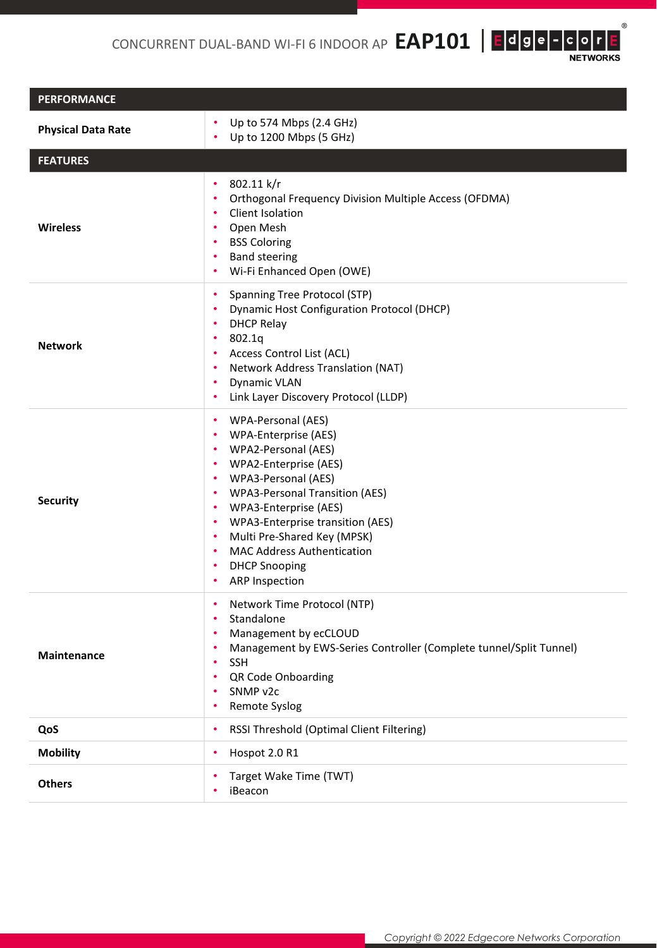CONCURRENT DUAL-BAND WI-FI 6 INDOOR AP **EAP101** | E**dge-Cor** 

 $^{\circledR}$ 

| <b>PERFORMANCE</b>        |                                                                                                                                                                                                                                                                                                                                                                                              |  |  |  |
|---------------------------|----------------------------------------------------------------------------------------------------------------------------------------------------------------------------------------------------------------------------------------------------------------------------------------------------------------------------------------------------------------------------------------------|--|--|--|
| <b>Physical Data Rate</b> | Up to 574 Mbps (2.4 GHz)<br>٠<br>Up to 1200 Mbps (5 GHz)<br>۰                                                                                                                                                                                                                                                                                                                                |  |  |  |
| <b>FEATURES</b>           |                                                                                                                                                                                                                                                                                                                                                                                              |  |  |  |
| <b>Wireless</b>           | 802.11 k/r<br>٠<br>Orthogonal Frequency Division Multiple Access (OFDMA)<br>٠<br>Client Isolation<br>٠<br>Open Mesh<br>٠<br><b>BSS Coloring</b><br>٠<br><b>Band steering</b><br>٠<br>Wi-Fi Enhanced Open (OWE)<br>٠                                                                                                                                                                          |  |  |  |
| <b>Network</b>            | Spanning Tree Protocol (STP)<br>٠<br><b>Dynamic Host Configuration Protocol (DHCP)</b><br><b>DHCP Relay</b><br>٠<br>802.1q<br>٠<br>Access Control List (ACL)<br>Network Address Translation (NAT)<br><b>Dynamic VLAN</b><br>Link Layer Discovery Protocol (LLDP)                                                                                                                             |  |  |  |
| <b>Security</b>           | WPA-Personal (AES)<br>٠<br>WPA-Enterprise (AES)<br>WPA2-Personal (AES)<br>٠<br>WPA2-Enterprise (AES)<br>٠<br>WPA3-Personal (AES)<br>٠<br><b>WPA3-Personal Transition (AES)</b><br>٠<br>WPA3-Enterprise (AES)<br>٠<br>WPA3-Enterprise transition (AES)<br>٠<br>Multi Pre-Shared Key (MPSK)<br>٠<br><b>MAC Address Authentication</b><br>٠<br><b>DHCP Snooping</b><br>٠<br>ARP Inspection<br>٠ |  |  |  |
| Maintenance               | Network Time Protocol (NTP)<br>٠<br>Standalone<br>$\bullet$<br>Management by ecCLOUD<br>٠<br>Management by EWS-Series Controller (Complete tunnel/Split Tunnel)<br><b>SSH</b><br>٠<br>QR Code Onboarding<br>SNMP v2c<br>Remote Syslog                                                                                                                                                        |  |  |  |
| QoS                       | RSSI Threshold (Optimal Client Filtering)<br>٠                                                                                                                                                                                                                                                                                                                                               |  |  |  |
| <b>Mobility</b>           | Hospot 2.0 R1<br>٠                                                                                                                                                                                                                                                                                                                                                                           |  |  |  |
| <b>Others</b>             | Target Wake Time (TWT)<br>iBeacon                                                                                                                                                                                                                                                                                                                                                            |  |  |  |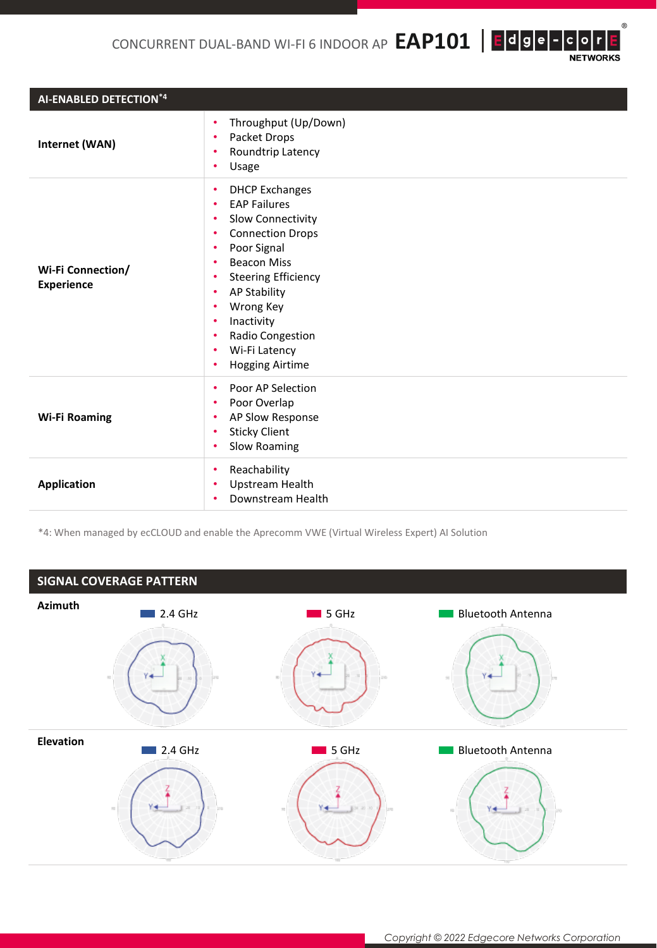CONCURRENT DUAL-BAND WI-FI 6 INDOOR AP  $\mathsf{EAP101}\mid\mathsf{E}\mid\mathsf{d}\mid\mathsf{g}\mid\mathsf{e}\mid\mathsf{-}\mid\mathsf{c}\mid\mathsf{o}\mid\mathsf{r}$ 

 $^\circledR$ 

**NETWORKS** 

| AI-ENABLED DETECTION*4                 |                                                                                                                                                                                                                                                                                                                                                   |  |  |
|----------------------------------------|---------------------------------------------------------------------------------------------------------------------------------------------------------------------------------------------------------------------------------------------------------------------------------------------------------------------------------------------------|--|--|
| Internet (WAN)                         | Throughput (Up/Down)<br>٠<br>Packet Drops<br>Roundtrip Latency<br>٠<br>Usage<br>٠                                                                                                                                                                                                                                                                 |  |  |
| Wi-Fi Connection/<br><b>Experience</b> | <b>DHCP Exchanges</b><br>٠<br><b>EAP Failures</b><br>٠<br>Slow Connectivity<br>٠<br><b>Connection Drops</b><br>٠<br>Poor Signal<br>٠<br><b>Beacon Miss</b><br>٠<br><b>Steering Efficiency</b><br>٠<br><b>AP Stability</b><br>٠<br>Wrong Key<br>٠<br>Inactivity<br>٠<br>Radio Congestion<br>٠<br>Wi-Fi Latency<br>٠<br><b>Hogging Airtime</b><br>٠ |  |  |
| <b>Wi-Fi Roaming</b>                   | Poor AP Selection<br>٠<br>Poor Overlap<br>٠<br>AP Slow Response<br>٠<br><b>Sticky Client</b><br>Slow Roaming<br>٠                                                                                                                                                                                                                                 |  |  |
| <b>Application</b>                     | Reachability<br>٠<br>Upstream Health<br>Downstream Health                                                                                                                                                                                                                                                                                         |  |  |

\*4: When managed by ecCLOUD and enable the Aprecomm VWE (Virtual Wireless Expert) AI Solution



*Copyright © 2022 Edgecore Networks Corporation*